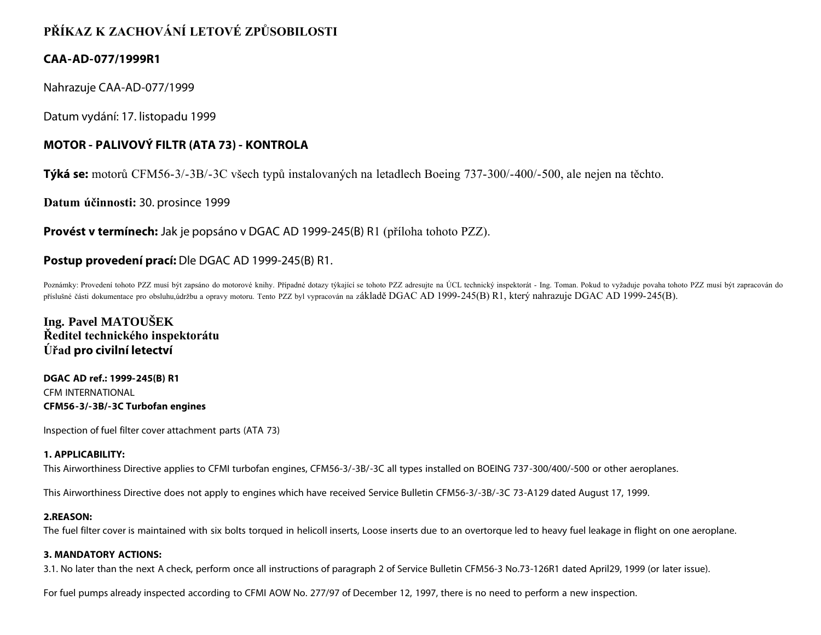# **PŘÍKAZ K ZACHOVÁNÍ LETOVÉ ZPŮSOBILOSTI**

### **CAA-AD-077/1999R1**

Nahrazuje CAA-AD-077/1999

Datum vydání: 17. listopadu 1999

# **MOTOR - PALIVOVÝ FILTR (ATA 73) - KONTROLA**

**Týká se:** motorů CFM56-3/-3B/-3C všech typů instalovaných na letadlech Boeing 737-300/-400/-500, ale nejen na těchto.

**Datum účinnosti:** 30. prosince 1999

**Provést v termínech:** Jak je popsáno v DGAC AD 1999-245(B) R1 (příloha tohoto PZZ).

## **Postup provedení prací:** Dle DGAC AD 1999-245(B) R1.

Poznámky: Provedení tohoto PZZ musí být zapsáno do motorové knihy. Případné dotazy týkající se tohoto PZZ adresujte na ÚCL technický inspektorát - Ing. Toman. Pokud to vyžaduje povaha tohoto PZZ musí být zapracován do příslušné části dokumentace pro obsluhu,údržbu a opravy motoru. Tento PZZ byl vypracován na základě DGAC AD 1999-245(B) R1, který nahrazuje DGAC AD 1999-245(B).

**Ing. Pavel MATOUŠEK Ředitel technického inspektorátu Úřad pro civilní letectví**

**DGAC AD ref.: 1999-245(B) R1** CFM INTERNATIONAL **CFM56-3/-3B/-3C Turbofan engines**

Inspection of fuel filter cover attachment parts (ATA 73)

#### **1. APPLICABILITY:**

This Airworthiness Directive applies to CFMI turbofan engines, CFM56-3/-3B/-3C all types installed on BOEING 737-300/400/-500 or other aeroplanes.

This Airworthiness Directive does not apply to engines which have received Service Bulletin CFM56-3/-3B/-3C 73-A129 dated August 17, 1999.

#### **2.REASON:**

The fuel filter cover is maintained with six bolts torqued in helicoll inserts, Loose inserts due to an overtorque led to heavy fuel leakage in flight on one aeroplane.

#### **3. MANDATORY ACTIONS:**

3.1. No later than the next A check, perform once all instructions of paragraph 2 of Service Bulletin CFM56-3 No.73-126R1 dated April29, 1999 (or later issue).

For fuel pumps already inspected according to CFMI AOW No. 277/97 of December 12, 1997, there is no need to perform a new inspection.